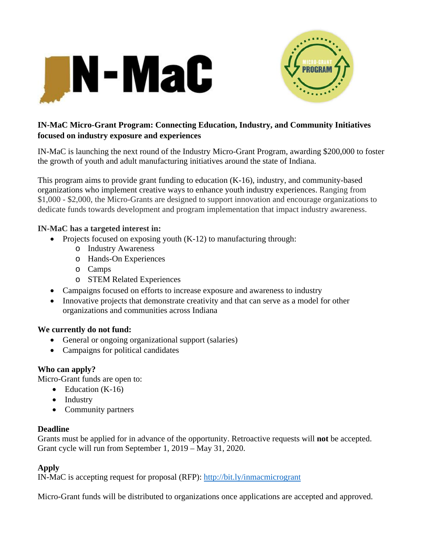



# **IN-MaC Micro-Grant Program: Connecting Education, Industry, and Community Initiatives focused on industry exposure and experiences**

IN-MaC is launching the next round of the Industry Micro-Grant Program, awarding \$200,000 to foster the growth of youth and adult manufacturing initiatives around the state of Indiana.

This program aims to provide grant funding to education (K-16), industry, and community-based organizations who implement creative ways to enhance youth industry experiences. Ranging from \$1,000 - \$2,000, the Micro-Grants are designed to support innovation and encourage organizations to dedicate funds towards development and program implementation that impact industry awareness.

#### **IN-MaC has a targeted interest in:**

- Projects focused on exposing youth  $(K-12)$  to manufacturing through:
	- o Industry Awareness
	- o Hands-On Experiences
	- o Camps
	- o STEM Related Experiences
- Campaigns focused on efforts to increase exposure and awareness to industry
- Innovative projects that demonstrate creativity and that can serve as a model for other organizations and communities across Indiana

# **We currently do not fund:**

- General or ongoing organizational support (salaries)
- Campaigns for political candidates

# **Who can apply?**

Micro-Grant funds are open to:

- $\bullet$  Education (K-16)
- Industry
- Community partners

#### **Deadline**

Grants must be applied for in advance of the opportunity. Retroactive requests will **not** be accepted. Grant cycle will run from September 1, 2019 – May 31, 2020.

#### **Apply**

IN-MaC is accepting request for proposal (RFP): http://bit.ly/inmacmicrogrant

Micro-Grant funds will be distributed to organizations once applications are accepted and approved.